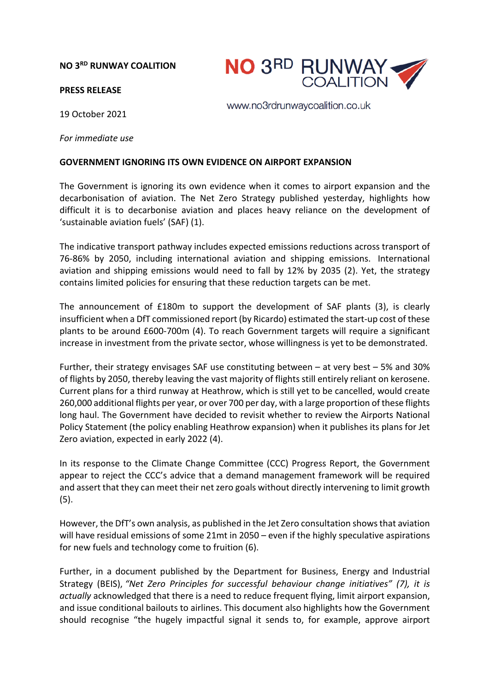### **NO 3RD RUNWAY COALITION**

#### **PRESS RELEASE**

19 October 2021

www.no3rdrunwaycoalition.co.uk

**NO 3RD RUNWAY** 

*For immediate use*

## **GOVERNMENT IGNORING ITS OWN EVIDENCE ON AIRPORT EXPANSION**

The Government is ignoring its own evidence when it comes to airport expansion and the decarbonisation of aviation. The Net Zero Strategy published yesterday, highlights how difficult it is to decarbonise aviation and places heavy reliance on the development of 'sustainable aviation fuels' (SAF) (1).

The indicative transport pathway includes expected emissions reductions across transport of 76-86% by 2050, including international aviation and shipping emissions. International aviation and shipping emissions would need to fall by 12% by 2035 (2). Yet, the strategy contains limited policies for ensuring that these reduction targets can be met.

The announcement of £180m to support the development of SAF plants (3), is clearly insufficient when a DfT commissioned report (by Ricardo) estimated the start-up cost of these plants to be around £600-700m (4). To reach Government targets will require a significant increase in investment from the private sector, whose willingness is yet to be demonstrated.

Further, their strategy envisages SAF use constituting between – at very best – 5% and 30% of flights by 2050, thereby leaving the vast majority of flights still entirely reliant on kerosene. Current plans for a third runway at Heathrow, which is still yet to be cancelled, would create 260,000 additional flights per year, or over 700 per day, with a large proportion of these flights long haul. The Government have decided to revisit whether to review the Airports National Policy Statement (the policy enabling Heathrow expansion) when it publishes its plans for Jet Zero aviation, expected in early 2022 (4).

In its response to the Climate Change Committee (CCC) Progress Report, the Government appear to reject the CCC's advice that a demand management framework will be required and assert that they can meet their net zero goals without directly intervening to limit growth (5).

However, the DfT's own analysis, as published in the Jet Zero consultation shows that aviation will have residual emissions of some 21mt in 2050 – even if the highly speculative aspirations for new fuels and technology come to fruition (6).

Further, in a document published by the Department for Business, Energy and Industrial Strategy (BEIS), *"Net Zero Principles for successful behaviour change initiatives" (7), it is actually* acknowledged that there is a need to reduce frequent flying, limit airport expansion, and issue conditional bailouts to airlines. This document also highlights how the Government should recognise "the hugely impactful signal it sends to, for example, approve airport